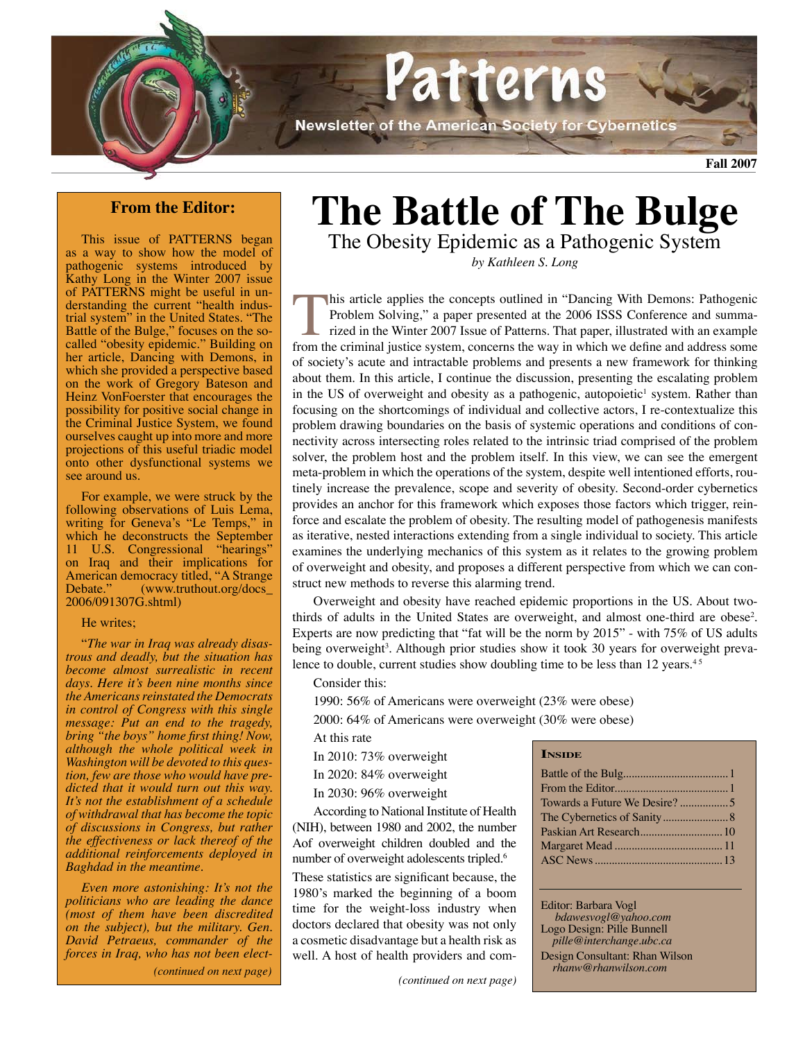

## **From the Editor:**

This issue of PATTERNS began as a way to show how the model of pathogenic systems introduced by Kathy Long in the Winter 2007 issue of PATTERNS might be useful in understanding the current "health industrial system" in the United States. "The Battle of the Bulge," focuses on the socalled "obesity epidemic." Building on her article, Dancing with Demons, in which she provided a perspective based on the work of Gregory Bateson and Heinz VonFoerster that encourages the possibility for positive social change in the Criminal Justice System, we found ourselves caught up into more and more projections of this useful triadic model onto other dysfunctional systems we see around us.

For example, we were struck by the following observations of Luis Lema, writing for Geneva's "Le Temps," in which he deconstructs the September 11 U.S. Congressional "hearings" on Iraq and their implications for American democracy titled, "A Strange<br>Debate." (www.truthout.org/docs  $(www.truthout.org/docs)$ 2006/091307G.shtml)

#### He writes;

"*The war in Iraq was already disastrous and deadly, but the situation has become almost surrealistic in recent days. Here it's been nine months since the Americans reinstated the Democrats in control of Congress with this single message: Put an end to the tragedy, bring "the boys" home first thing! Now, although the whole political week in Washington will be devoted to this question, few are those who would have predicted that it would turn out this way. It's not the establishment of a schedule of withdrawal that has become the topic of discussions in Congress, but rather the effectiveness or lack thereof of the additional reinforcements deployed in Baghdad in the meantime.*

*Even more astonishing: It's not the politicians who are leading the dance (most of them have been discredited on the subject), but the military. Gen. David Petraeus, commander of the forces in Iraq, who has not been elect-(continued on next page)*

# **The Battle of The Bulge**

The Obesity Epidemic as a Pathogenic System *by Kathleen S. Long*

his article applies the concepts outlined in "Dancing With Demons: Pathogenic Problem Solving," a paper presented at the 2006 ISSS Conference and summarized in the Winter 2007 Issue of Patterns. That paper, illustrated with an example from the criminal justice system, concerns the way in which we define and address some of society's acute and intractable problems and presents a new framework for thinking about them. In this article, I continue the discussion, presenting the escalating problem in the US of overweight and obesity as a pathogenic, autopoietic<sup>1</sup> system. Rather than focusing on the shortcomings of individual and collective actors, I re-contextualize this problem drawing boundaries on the basis of systemic operations and conditions of connectivity across intersecting roles related to the intrinsic triad comprised of the problem solver, the problem host and the problem itself. In this view, we can see the emergent meta-problem in which the operations of the system, despite well intentioned efforts, routinely increase the prevalence, scope and severity of obesity. Second-order cybernetics provides an anchor for this framework which exposes those factors which trigger, reinforce and escalate the problem of obesity. The resulting model of pathogenesis manifests as iterative, nested interactions extending from a single individual to society. This article examines the underlying mechanics of this system as it relates to the growing problem of overweight and obesity, and proposes a different perspective from which we can construct new methods to reverse this alarming trend.

Overweight and obesity have reached epidemic proportions in the US. About twothirds of adults in the United States are overweight, and almost one-third are obese<sup>2</sup>. Experts are now predicting that "fat will be the norm by 2015" - with 75% of US adults being overweight<sup>3</sup>. Although prior studies show it took 30 years for overweight prevalence to double, current studies show doubling time to be less than 12 years.<sup>45</sup>

Consider this:

1990: 56% of Americans were overweight (23% were obese)

2000: 64% of Americans were overweight (30% were obese)

At this rate

In 2010: 73% overweight

In 2020: 84% overweight

In 2030: 96% overweight

According to National Institute of Health (NIH), between 1980 and 2002, the number Aof overweight children doubled and the number of overweight adolescents tripled.6

These statistics are significant because, the 1980's marked the beginning of a boom time for the weight-loss industry when doctors declared that obesity was not only a cosmetic disadvantage but a health risk as well. A host of health providers and com**Inside**

Editor: Barbara Vogl  *bdawesvogl@yahoo.com* Logo Design: Pille Bunnell *pille@interchange.ubc.ca*

Design Consultant: Rhan Wilson *rhanw@rhanwilson.com*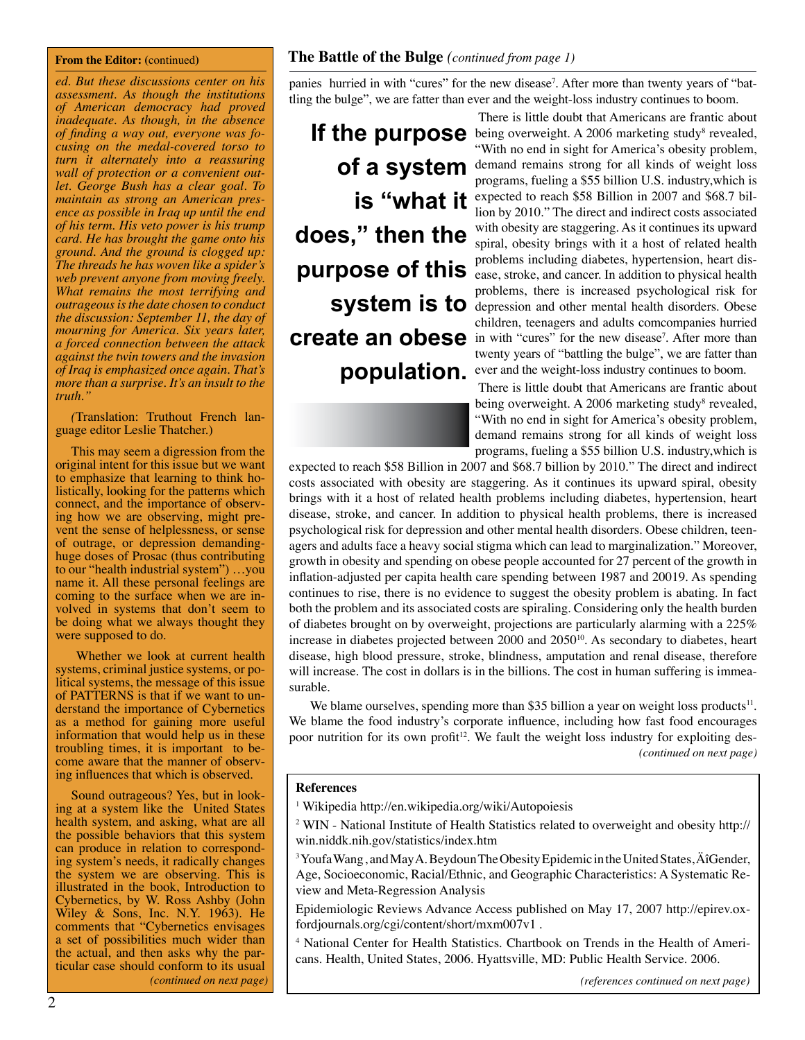#### **From the Editor: (**continued**)**

*ed. But these discussions center on his assessment. As though the institutions of American democracy had proved inadequate. As though, in the absence of finding a way out, everyone was fo- cusing on the medal-covered torso to turn it alternately into a reassuring wall of protection or a convenient out- let. George Bush has a clear goal. To maintain as strong an American presence as possible in Iraq up until the end of his term. His veto power is his trump card. He has brought the game onto his ground. And the ground is clogged up: The threads he has woven like a spider's web prevent anyone from moving freely. What remains the most terrifying and outrageous is the date chosen to conduct the discussion: September 11, the day of mourning for America. Six years later, a forced connection between the attack against the twin towers and the invasion of Iraq is emphasized once again. That's more than a surprise. It's an insult to the truth."* 

*(*Translation: Truthout French lan- guage editor Leslie Thatcher.)

This may seem a digression from the original intent for this issue but we want to emphasize that learning to think holistically, looking for the patterns which connect, and the importance of observing how we are observing, might prevent the sense of helplessness, or sense of outrage, or depression demandinghuge doses of Prosac (thus contributing to our "health industrial system") …you name it. All these personal feelings are coming to the surface when we are involved in systems that don't seem to be doing what we always thought they were supposed to do.

 Whether we look at current health systems, criminal justice systems, or political systems, the message of this issue of PATTERNS is that if we want to understand the importance of Cybernetics as a method for gaining more useful information that would help us in these troubling times, it is important to become aware that the manner of observing influences that which is observed.

Sound outrageous? Yes, but in look-<br>ing at a system like the United States health system, and asking, what are all the possible behaviors that this system can produce in relation to corresponding system's needs, it radically changes the system we are observing. This is illustrated in the book, Introduction to Cybernetics, by W. Ross Ashby (John Wiley & Sons, Inc. N.Y. 1963). He comments that "Cybernetics envisages a set of possibilities much wider than the actual, and then asks why the particular case should conform to its usual *(continued on next page)* panies hurried in with "cures" for the new disease<sup>7</sup>. After more than twenty years of "battling the bulge", we are fatter than ever and the weight-loss industry continues to boom.

**does," then the purpose of this system is to** 

There is little doubt that Americans are frantic about If the purpose being overweight. A 2006 marketing study<sup>8</sup> revealed, "With no end in sight for America's obesity problem, **of a system** demand remains strong for all kinds of weight loss of **a** programs, fueling a \$55 billion U.S. industry,which is **is "what it** expected to reach \$58 Billion in 2007 and \$68.7 billion by 2010." The direct and indirect costs associated with obesity are staggering. As it continues its upward spiral, obesity brings with it a host of related health problems including diabetes, hypertension, heart disease, stroke, and cancer. In addition to physical health problems, there is increased psychological risk for depression and other mental health disorders. Obese children, teenagers and adults comcompanies hurried **create an obese** in with "cures" for the new disease<sup>7</sup>. After more than twenty years of "battling the bulge", we are fatter than population. ever and the weight-loss industry continues to boom.

There is little doubt that Americans are frantic about being overweight. A 2006 marketing study<sup>8</sup> revealed, "With no end in sight for America's obesity problem, demand remains strong for all kinds of weight loss programs, fueling a \$55 billion U.S. industry,which is

expected to reach \$58 Billion in 2007 and \$68.7 billion by 2010." The direct and indirect costs associated with obesity are staggering. As it continues its upward spiral, obesity brings with it a host of related health problems including diabetes, hypertension, heart disease, stroke, and cancer. In addition to physical health problems, there is increased psychological risk for depression and other mental health disorders. Obese children, teenagers and adults face a heavy social stigma which can lead to marginalization." Moreover, growth in obesity and spending on obese people accounted for 27 percent of the growth in inflation-adjusted per capita health care spending between 1987 and 20019. As spending continues to rise, there is no evidence to suggest the obesity problem is abating. In fact both the problem and its associated costs are spiraling. Considering only the health burden of diabetes brought on by overweight, projections are particularly alarming with a 225% increase in diabetes projected between  $2000$  and  $2050^{10}$ . As secondary to diabetes, heart disease, high blood pressure, stroke, blindness, amputation and renal disease, therefore will increase. The cost in dollars is in the billions. The cost in human suffering is immeasurable.

We blame ourselves, spending more than \$35 billion a year on weight loss products $<sup>11</sup>$ .</sup> We blame the food industry's corporate influence, including how fast food encourages poor nutrition for its own profit<sup>12</sup>. We fault the weight loss industry for exploiting des-*(continued on next page)*

#### **References**

- 1 Wikipedia http://en.wikipedia.org/wiki/Autopoiesis
- <sup>2</sup> WIN National Institute of Health Statistics related to overweight and obesity http:// win.niddk.nih.gov/statistics/index.htm
- $3$  Youfa Wang, and May A. Beydoun The Obesity Epidemic in the United States,  $\rm \AA$  Gender, Age, Socioeconomic, Racial/Ethnic, and Geographic Characteristics: A Systematic Review and Meta-Regression Analysis
- Epidemiologic Reviews Advance Access published on May 17, 2007 http://epirev.oxfordjournals.org/cgi/content/short/mxm007v1 .
- 4 National Center for Health Statistics. Chartbook on Trends in the Health of Americans. Health, United States, 2006. Hyattsville, MD: Public Health Service. 2006.

*(references continued on next page)*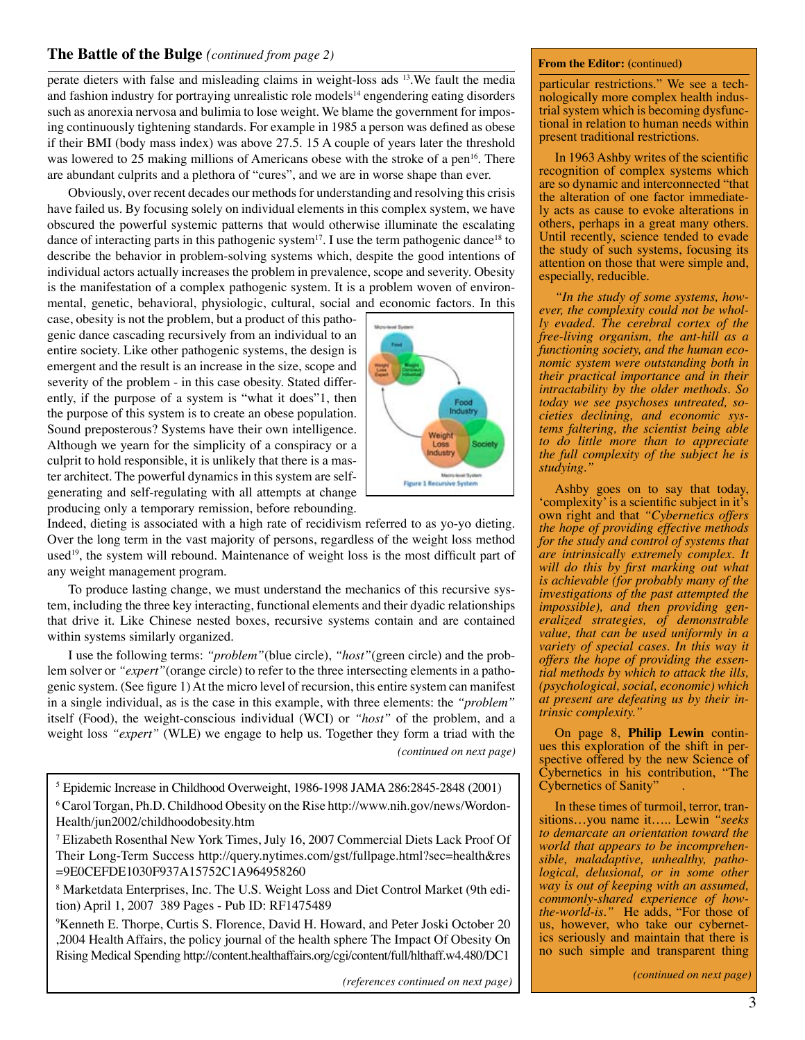## **The Battle of the Bulge** *(continued from page 2)*

perate dieters with false and misleading claims in weight-loss ads 13.We fault the media and fashion industry for portraying unrealistic role models<sup>14</sup> engendering eating disorders such as anorexia nervosa and bulimia to lose weight. We blame the government for imposing continuously tightening standards. For example in 1985 a person was defined as obese if their BMI (body mass index) was above 27.5. 15 A couple of years later the threshold was lowered to 25 making millions of Americans obese with the stroke of a pen<sup>16</sup>. There are abundant culprits and a plethora of "cures", and we are in worse shape than ever.

Obviously, over recent decades our methods for understanding and resolving this crisis have failed us. By focusing solely on individual elements in this complex system, we have obscured the powerful systemic patterns that would otherwise illuminate the escalating dance of interacting parts in this pathogenic system<sup>17</sup>. I use the term pathogenic dance<sup>18</sup> to describe the behavior in problem-solving systems which, despite the good intentions of individual actors actually increases the problem in prevalence, scope and severity. Obesity is the manifestation of a complex pathogenic system. It is a problem woven of environmental, genetic, behavioral, physiologic, cultural, social and economic factors. In this

case, obesity is not the problem, but a product of this pathogenic dance cascading recursively from an individual to an entire society. Like other pathogenic systems, the design is emergent and the result is an increase in the size, scope and severity of the problem - in this case obesity. Stated differently, if the purpose of a system is "what it does"1, then the purpose of this system is to create an obese population. Sound preposterous? Systems have their own intelligence. Although we yearn for the simplicity of a conspiracy or a culprit to hold responsible, it is unlikely that there is a master architect. The powerful dynamics in this system are selfgenerating and self-regulating with all attempts at change producing only a temporary remission, before rebounding.

Food Loss dustry Figure 1 Recursive System

Indeed, dieting is associated with a high rate of recidivism referred to as yo-yo dieting. Over the long term in the vast majority of persons, regardless of the weight loss method used<sup>19</sup>, the system will rebound. Maintenance of weight loss is the most difficult part of any weight management program.

To produce lasting change, we must understand the mechanics of this recursive system, including the three key interacting, functional elements and their dyadic relationships that drive it. Like Chinese nested boxes, recursive systems contain and are contained within systems similarly organized.

I use the following terms: *"problem"*(blue circle), *"host"*(green circle) and the problem solver or *"expert"*(orange circle) to refer to the three intersecting elements in a pathogenic system. (See figure 1) At the micro level of recursion, this entire system can manifest in a single individual, as is the case in this example, with three elements: the *"problem"* itself (Food), the weight-conscious individual (WCI) or *"host"* of the problem, and a weight loss *"expert"* (WLE) we engage to help us. Together they form a triad with the *(continued on next page)*

5 Epidemic Increase in Childhood Overweight, 1986-1998 JAMA 286:2845-2848 (2001)

6 Carol Torgan, Ph.D. Childhood Obesity on the Rise http://www.nih.gov/news/Wordon-Health/jun2002/childhoodobesity.htm

7 Elizabeth Rosenthal New York Times, July 16, 2007 Commercial Diets Lack Proof Of Their Long-Term Success http://query.nytimes.com/gst/fullpage.html?sec=health&res =9E0CEFDE1030F937A15752C1A964958260

8 Marketdata Enterprises, Inc. The U.S. Weight Loss and Diet Control Market (9th edition) April 1, 2007 389 Pages - Pub ID: RF1475489

9 Kenneth E. Thorpe, Curtis S. Florence, David H. Howard, and Peter Joski October 20 ,2004 Health Affairs, the policy journal of the health sphere The Impact Of Obesity On Rising Medical Spending http://content.healthaffairs.org/cgi/content/full/hlthaff.w4.480/DC1

*(references continued on next page)*

#### **From the Editor: (**continued**)**

particular restrictions." We see a tech-<br>nologically more complex health indus-<br>trial system which is becoming dysfunc-<br>tional in relation to human needs within present traditional restrictions.

In 1963 Ashby writes of the scientific recognition of complex systems which are so dynamic and interconnected "that ly acts as cause to evoke alterations in others, perhaps in a great many others. Until recently, science tended to evade the study of such systems, focusing its attention on those that were simple and, especially, reducible.

*"In the study of some systems, however, the complexity could not be wholly evaded. The cerebral cortex of the free-living organism, the ant-hill as a functioning society, and the human economic system were outstanding both in their practical importance and in their intractability by the older methods. So today we see psychoses untreated, societies declining, and economic systems faltering, the scientist being able to do little more than to appreciate the full complexity of the subject he is studying."*

Ashby goes on to say that today, 'complexity' is a scientific subject in it's own right and that *"Cybernetics offers the hope of providing effective methods for the study and control of systems that are intrinsically extremely complex. It will do this by first marking out what is achievable (for probably many of the investigations of the past attempted the impossible), and then providing generalized strategies, of demonstrable value, that can be used uniformly in a variety of special cases. In this way it offers the hope of providing the essential methods by which to attack the ills, (psychological, social, economic) which at present are defeating us by their intrinsic complexity."*

On page 8, **Philip Lewin** continues this exploration of the shift in per-<br>spective offered by the new Science of Cybernetics in his contribution, "The Cybernetics of Sanity" .

In these times of turmoil, terror, transitions…you name it….. Lewin *"seeks to demarcate an orientation toward the world that appears to be incomprehensible, maladaptive, unhealthy, pathological, delusional, or in some other way is out of keeping with an assumed, commonly-shared experience of howthe-world-is.*" He adds, "For those of us, however, who take our cybernetics seriously and maintain that there is no such simple and transparent thing

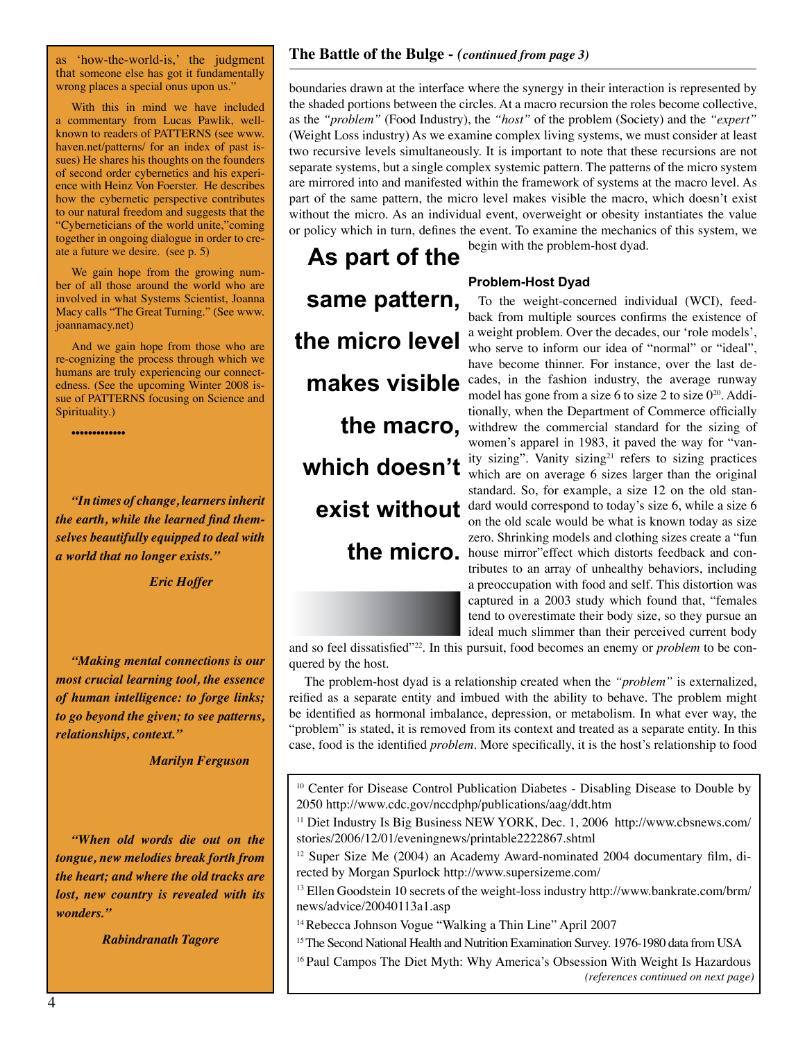as 'how-the-world-is,' the judgment that someone else has got it fundamentally wrong places a special onus upon us."

With this in mind we have included a commentary from Lucas Pawlik, wellknown to readers of PATTERNS (see www. haven.net/patterns/ for an index of past issues) He shares his thoughts on the founders of second order cybernetics and his experience with Heinz Von Foerster. He describes how the cybernetic perspective contributes to our natural freedom and suggests that the "Cyberneticians of the world unite,"coming together in ongoing dialogue in order to create a future we desire. (see p. 5)

We gain hope from the growing number of all those around the world who are involved in what Systems Scientist, Joanna Macy calls "The Great Turning." (See www. joannamacy.net)

And we gain hope from those who are re-cognizing the process through which we humans are truly experiencing our connectedness. (See the upcoming Winter 2008 issue of PATTERNS focusing on Science and Spirituality.)

•••••••••••••

*"In times of change, learners inherit the earth, while the learned find themselves beautifully equipped to deal with a world that no longer exists."*

 *Eric Hoffer*

*"Making mental connections is our most crucial learning tool, the essence of human intelligence: to forge links; to go beyond the given; to see patterns, relationships, context."*

 *Marilyn Ferguson*

*"When old words die out on the tongue, new melodies break forth from the heart; and where the old tracks are lost, new country is revealed with its wonders."*

*Rabindranath Tagore*

### **The Battle of the Bulge -** *(continued from page 3)*

boundaries drawn at the interface where the synergy in their interaction is represented by the shaded portions between the circles. At a macro recursion the roles become collective, as the *"problem"* (Food Industry), the *"host"* of the problem (Society) and the *"expert"* (Weight Loss industry) As we examine complex living systems, we must consider at least two recursive levels simultaneously. It is important to note that these recursions are not separate systems, but a single complex systemic pattern. The patterns of the micro system are mirrored into and manifested within the framework of systems at the macro level. As part of the same pattern, the micro level makes visible the macro, which doesn't exist without the micro. As an individual event, overweight or obesity instantiates the value or policy which in turn, defines the event. To examine the mechanics of this system, we

**As part of the same pattern, the micro level makes visible which doesn't exist without** 

begin with the problem-host dyad.

#### **Problem-Host Dyad**

To the weight-concerned individual (WCI), feedback from multiple sources confirms the existence of a weight problem. Over the decades, our 'role models', who serve to inform our idea of "normal" or "ideal", have become thinner. For instance, over the last decades, in the fashion industry, the average runway model has gone from a size 6 to size 2 to size  $0^{20}$ . Additionally, when the Department of Commerce officially **the macro,** withdrew the commercial standard for the sizing of women's apparel in 1983, it paved the way for "vanity sizing". Vanity sizing<sup>21</sup> refers to sizing practices which are on average 6 sizes larger than the original standard. So, for example, a size 12 on the old standard would correspond to today's size 6, while a size 6 on the old scale would be what is known today as size zero. Shrinking models and clothing sizes create a "fun the micro. buse mirror"effect which distorts feedback and contributes to an array of unhealthy behaviors, including a preoccupation with food and self. This distortion was captured in a 2003 study which found that, "females tend to overestimate their body size, so they pursue an ideal much slimmer than their perceived current body

and so feel dissatisfied"<sup>22</sup>. In this pursuit, food becomes an enemy or *problem* to be conquered by the host.

 The problem-host dyad is a relationship created when the *"problem"* is externalized, reified as a separate entity and imbued with the ability to behave. The problem might be identified as hormonal imbalance, depression, or metabolism. In what ever way, the "problem" is stated, it is removed from its context and treated as a separate entity. In this case, food is the identified *problem*. More specifically, it is the host's relationship to food

<sup>10</sup> Center for Disease Control Publication Diabetes - Disabling Disease to Double by 2050 http://www.cdc.gov/nccdphp/publications/aag/ddt.htm

<sup>11</sup> Diet Industry Is Big Business NEW YORK, Dec. 1, 2006 http://www.cbsnews.com/ stories/2006/12/01/eveningnews/printable2222867.shtml

<sup>12</sup> Super Size Me (2004) an Academy Award-nominated 2004 documentary film, directed by Morgan Spurlock http://www.supersizeme.com/

<sup>13</sup> Ellen Goodstein 10 secrets of the weight-loss industry http://www.bankrate.com/brm/ news/advice/20040113a1.asp

14 Rebecca Johnson Vogue "Walking a Thin Line" April 2007

<sup>15</sup> The Second National Health and Nutrition Examination Survey. 1976-1980 data from USA

<sup>16</sup> Paul Campos The Diet Myth: Why America's Obsession With Weight Is Hazardous *(references continued on next page)*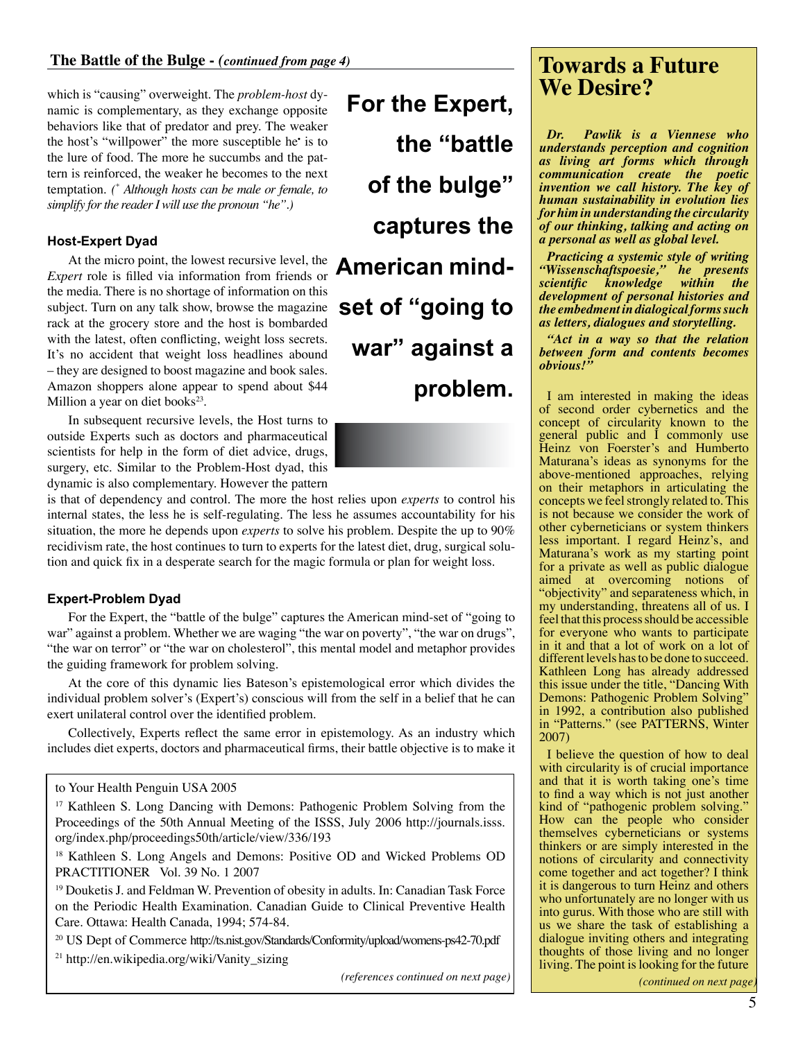which is "causing" overweight. The *problem-host* dynamic is complementary, as they exchange opposite behaviors like that of predator and prey. The weaker the host's "willpower" the more susceptible he• is to the lure of food. The more he succumbs and the pattern is reinforced, the weaker he becomes to the next temptation. *(\* Although hosts can be male or female, to simplify for the reader I will use the pronoun "he".)*

## **Host-Expert Dyad**

At the micro point, the lowest recursive level, the *Expert* role is filled via information from friends or the media. There is no shortage of information on this subject. Turn on any talk show, browse the magazine rack at the grocery store and the host is bombarded with the latest, often conflicting, weight loss secrets. It's no accident that weight loss headlines abound – they are designed to boost magazine and book sales. Amazon shoppers alone appear to spend about \$44 Million a year on diet books<sup>23</sup>.

In subsequent recursive levels, the Host turns to outside Experts such as doctors and pharmaceutical scientists for help in the form of diet advice, drugs, surgery, etc. Similar to the Problem-Host dyad, this dynamic is also complementary. However the pattern

**For the Expert, the "battle of the bulge" captures the American mindset of "going to war" against a problem.**

#### is that of dependency and control. The more the host relies upon *experts* to control his internal states, the less he is self-regulating. The less he assumes accountability for his situation, the more he depends upon *experts* to solve his problem. Despite the up to 90% recidivism rate, the host continues to turn to experts for the latest diet, drug, surgical solution and quick fix in a desperate search for the magic formula or plan for weight loss.

## **Expert-Problem Dyad**

For the Expert, the "battle of the bulge" captures the American mind-set of "going to war" against a problem. Whether we are waging "the war on poverty", "the war on drugs", "the war on terror" or "the war on cholesterol", this mental model and metaphor provides the guiding framework for problem solving.

At the core of this dynamic lies Bateson's epistemological error which divides the individual problem solver's (Expert's) conscious will from the self in a belief that he can exert unilateral control over the identified problem.

Collectively, Experts reflect the same error in epistemology. As an industry which includes diet experts, doctors and pharmaceutical firms, their battle objective is to make it

<sup>17</sup> Kathleen S. Long Dancing with Demons: Pathogenic Problem Solving from the Proceedings of the 50th Annual Meeting of the ISSS, July 2006 http://journals.isss. org/index.php/proceedings50th/article/view/336/193

18 Kathleen S. Long Angels and Demons: Positive OD and Wicked Problems OD PRACTITIONER Vol. 39 No. 1 2007

<sup>19</sup> Douketis J. and Feldman W. Prevention of obesity in adults. In: Canadian Task Force on the Periodic Health Examination. Canadian Guide to Clinical Preventive Health Care. Ottawa: Health Canada, 1994; 574-84.

20 US Dept of Commerce http://ts.nist.gov/Standards/Conformity/upload/womens-ps42-70.pdf

21 http://en.wikipedia.org/wiki/Vanity\_sizing

*(references continued on next page)*

# **Towards a Future We Desire?**

*Dr. Pawlik is a Viennese who understands perception and cognition as living art forms which through communication create the poetic invention we call history. The key of human sustainability in evolution lies for him in understanding the circularity of our thinking, talking and acting on a personal as well as global level.*

*Practicing a systemic style of writing "Wissenschaftspoesie," he presents scientific knowledge within the development of personal histories and the embedment in dialogical forms such as letters, dialogues and storytelling.*

*"Act in a way so that the relation between form and contents becomes obvious!"*

I am interested in making the ideas of second order cybernetics and the concept of circularity known to the general public and I commonly use Heinz von Foerster's and Humberto Maturana's ideas as synonyms for the above-mentioned approaches, relying on their metaphors in articulating the concepts we feel strongly related to. This is not because we consider the work of other cyberneticians or system thinkers less important. I regard Heinz's, and Maturana's work as my starting point for a private as well as public dialogue aimed at overcoming notions of "objectivity" and separateness which, in my understanding, threatens all of us. I feel that this process should be accessible for everyone who wants to participate in it and that a lot of work on a lot of different levels has to be done to succeed. Kathleen Long has already addressed this issue under the title, "Dancing With Demons: Pathogenic Problem Solving" in 1992, a contribution also published in "Patterns." (see PATTERNS, Winter 2007)

I believe the question of how to deal with circularity is of crucial importance and that it is worth taking one's time to find a way which is not just another kind of "pathogenic problem solving." How can the people who consider themselves cyberneticians or systems thinkers or are simply interested in the notions of circularity and connectivity come together and act together? I think it is dangerous to turn Heinz and others who unfortunately are no longer with us into gurus. With those who are still with us we share the task of establishing a dialogue inviting others and integrating thoughts of those living and no longer living. The point is looking for the future

to Your Health Penguin USA 2005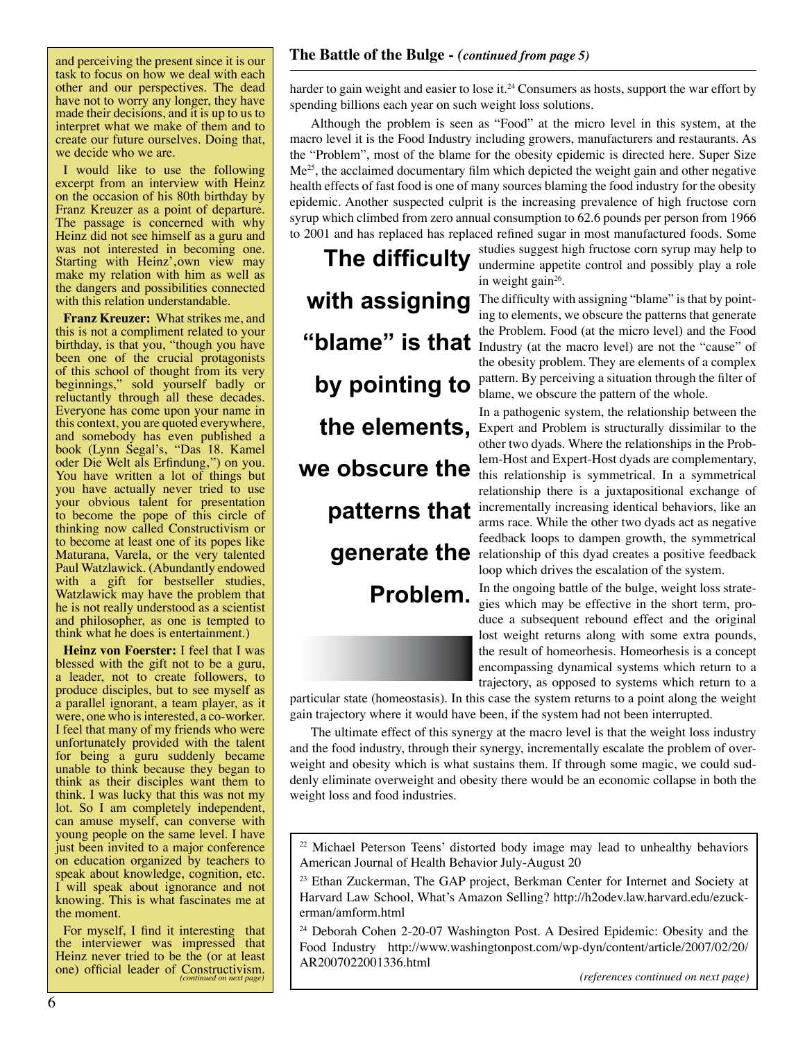and perceiving the present since it is our task to focus on how we deal with each other and our perspectives. The dead have not to worry any longer, they have made their decisions, and it is up to us to interpret what we make of them and to create our future ourselves. Doing that, we decide who we are.

I would like to use the following excerpt from an interview with Heinz on the occasion of his 80th birthday by Franz Kreuzer as a point of departure. The passage is concerned with why Heinz did not see himself as a guru and was not interested in becoming one. Starting with Heinz', own view may make my relation with him as well as the dangers and possibilities connected with this relation understandable.

**Franz Kreuzer:** What strikes me, and this is not a compliment related to your birthday, is that you, "though you have been one of the crucial protagonists of this school of thought from its very beginnings," sold yourself badly or reluctantly through all these decades. Everyone has come upon your name in this context, you are quoted everywhere, and somebody has even published a book (Lynn Segal's, "Das 18. Kamel oder Die Welt als Erfindung'") on you. You have written a lot of things but you have actually never tried to use your obvious talent for presentation to become the pope of this circle of thinking now called Constructivism or to become at least one of its popes like Maturana, Varela, or the very talented Paul Watzlawick. (Abundantly endowed with a gift for bestseller studies, Watzlawick may have the problem that he is not really understood as a scientist and philosopher, as one is tempted to think what he does is entertainment.)

**Heinz von Foerster:** I feel that I was blessed with the gift not to be a guru, a leader, not to create followers, to produce disciples, but to see myself as a parallel ignorant, a team player, as it were, one who is interested, a co-worker. I feel that many of my friends who were unfortunately provided with the talent for being a guru suddenly became unable to think because they began to think as their disciples want them to think. I was lucky that this was not my lot. So I am completely independent, can amuse myself, can converse with young people on the same level. I have just been invited to a major conference on education organized by teachers to speak about knowledge, cognition, etc. I will speak about ignorance and not knowing. This is what fascinates me at the moment.

For myself, I find it interesting that the interviewer was impressed that Heinz never tried to be the (or at least one) official leader of Constructivism. *(continued on next page)*

## **The Battle of the Bulge -** *(continued from page 5)*

harder to gain weight and easier to lose it.<sup>24</sup> Consumers as hosts, support the war effort by spending billions each year on such weight loss solutions.

Although the problem is seen as "Food" at the micro level in this system, at the macro level it is the Food Industry including growers, manufacturers and restaurants. As the "Problem", most of the blame for the obesity epidemic is directed here. Super Size  $Me<sup>25</sup>$ , the acclaimed documentary film which depicted the weight gain and other negative health effects of fast food is one of many sources blaming the food industry for the obesity epidemic. Another suspected culprit is the increasing prevalence of high fructose corn syrup which climbed from zero annual consumption to 62.6 pounds per person from 1966 to 2001 and has replaced has replaced refined sugar in most manufactured foods. Some

**The difficulty with assigning by pointing to the elements, we obscure the patterns that Problem.**

studies suggest high fructose corn syrup may help to undermine appetite control and possibly play a role in weight gain<sup>26</sup>.

The difficulty with assigning "blame" is that by pointing to elements, we obscure the patterns that generate the Problem. Food (at the micro level) and the Food **"blame" is that** Industry (at the macro level) are not the "cause" of the obesity problem. They are elements of a complex pattern. By perceiving a situation through the filter of blame, we obscure the pattern of the whole.

In a pathogenic system, the relationship between the Expert and Problem is structurally dissimilar to the other two dyads. Where the relationships in the Problem-Host and Expert-Host dyads are complementary, this relationship is symmetrical. In a symmetrical relationship there is a juxtapositional exchange of incrementally increasing identical behaviors, like an arms race. While the other two dyads act as negative feedback loops to dampen growth, the symmetrical **generate the** relationship of this dyad creates a positive feedback loop which drives the escalation of the system.

> In the ongoing battle of the bulge, weight loss strategies which may be effective in the short term, produce a subsequent rebound effect and the original lost weight returns along with some extra pounds, the result of homeorhesis. Homeorhesis is a concept encompassing dynamical systems which return to a trajectory, as opposed to systems which return to a

particular state (homeostasis). In this case the system returns to a point along the weight gain trajectory where it would have been, if the system had not been interrupted.

The ultimate effect of this synergy at the macro level is that the weight loss industry and the food industry, through their synergy, incrementally escalate the problem of overweight and obesity which is what sustains them. If through some magic, we could suddenly eliminate overweight and obesity there would be an economic collapse in both the weight loss and food industries.

<sup>&</sup>lt;sup>22</sup> Michael Peterson Teens' distorted body image may lead to unhealthy behaviors American Journal of Health Behavior July-August 20

<sup>&</sup>lt;sup>23</sup> Ethan Zuckerman, The GAP project, Berkman Center for Internet and Society at Harvard Law School, What's Amazon Selling? http://h2odev.law.harvard.edu/ezuckerman/amform.html

<sup>24</sup> Deborah Cohen 2-20-07 Washington Post. A Desired Epidemic: Obesity and the Food Industry http://www.washingtonpost.com/wp-dyn/content/article/2007/02/20/ AR2007022001336.html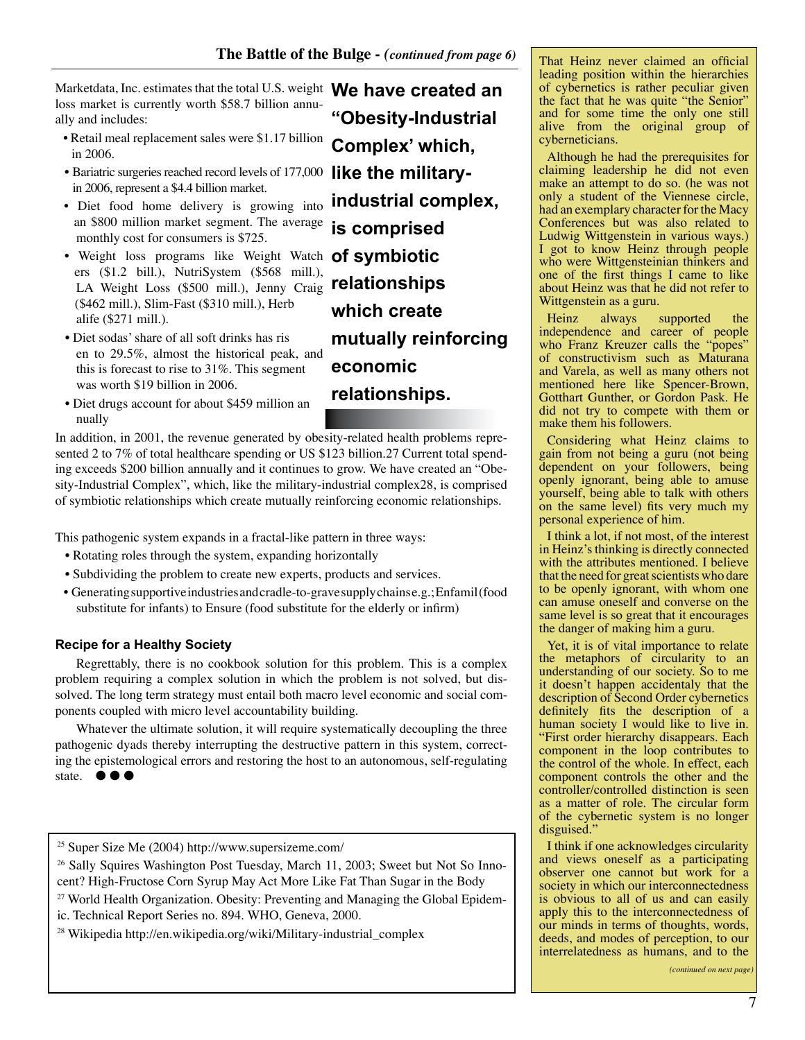Marketdata, Inc. estimates that the total U.S. weight **We have created an**  loss market is currently worth \$58.7 billion annually and includes:

- Retail meal replacement sales were \$1.17 billion in 2006.
- Bariatric surgeries reached record levels of 177,000 in 2006, represent a \$4.4 billion market.
- Diet food home delivery is growing into an \$800 million market segment. The average monthly cost for consumers is \$725.
- Weight loss programs like Weight Watch **of symbiotic**  ers (\$1.2 bill.), NutriSystem (\$568 mill.), LA Weight Loss (\$500 mill.), Jenny Craig (\$462 mill.), Slim-Fast (\$310 mill.), Herb alife (\$271 mill.).
- Diet sodas' share of all soft drinks has ris en to 29.5%, almost the historical peak, and this is forecast to rise to 31%. This segment was worth \$19 billion in 2006.
- Diet drugs account for about \$459 million an nually

In addition, in 2001, the revenue generated by obesity-related health problems represented 2 to 7% of total healthcare spending or US \$123 billion.27 Current total spending exceeds \$200 billion annually and it continues to grow. We have created an "Obesity-Industrial Complex", which, like the military-industrial complex28, is comprised of symbiotic relationships which create mutually reinforcing economic relationships.

This pathogenic system expands in a fractal-like pattern in three ways:

- Rotating roles through the system, expanding horizontally
- Subdividing the problem to create new experts, products and services.
- Generating supportive industries and cradle-to-grave supply chains e.g.; Enfamil (food substitute for infants) to Ensure (food substitute for the elderly or infirm)

## **Recipe for a Healthy Society**

Regrettably, there is no cookbook solution for this problem. This is a complex problem requiring a complex solution in which the problem is not solved, but dissolved. The long term strategy must entail both macro level economic and social components coupled with micro level accountability building.

Whatever the ultimate solution, it will require systematically decoupling the three pathogenic dyads thereby interrupting the destructive pattern in this system, correcting the epistemological errors and restoring the host to an autonomous, self-regulating state.  $\bullet \bullet \bullet$ 

25 Super Size Me (2004) http://www.supersizeme.com/

<sup>26</sup> Sally Squires Washington Post Tuesday, March 11, 2003; Sweet but Not So Innocent? High-Fructose Corn Syrup May Act More Like Fat Than Sugar in the Body

 $27$  World Health Organization. Obesity: Preventing and Managing the Global Epidemic. Technical Report Series no. 894. WHO, Geneva, 2000.

28 Wikipedia http://en.wikipedia.org/wiki/Military-industrial\_complex

**"Obesity-Industrial Complex' which, like the militaryindustrial complex, is comprised relationships which create mutually reinforcing economic relationships.**

That Heinz never claimed an official leading position within the hierarchies of cybernetics is rather peculiar given the fact that he was quite "the Senior" and for some time the only one still alive from the original group of cyberneticians.

Although he had the prerequisites for claiming leadership he did not even make an attempt to do so. (he was not only a student of the Viennese circle, had an exemplary character for the Macy Conferences but was also related to Ludwig Wittgenstein in various ways.) I got to know Heinz through people who were Wittgensteinian thinkers and one of the first things I came to like about Heinz was that he did not refer to Wittgenstein as a guru.

Heinz always supported the independence and career of people who Franz Kreuzer calls the "popes" of constructivism such as Maturana and Varela, as well as many others not mentioned here like Spencer-Brown, Gotthart Gunther, or Gordon Pask. He did not try to compete with them or make them his followers.

Considering what Heinz claims to gain from not being a guru (not being dependent on your followers, being openly ignorant, being able to amuse yourself, being able to talk with others on the same level) fits very much my personal experience of him.

I think a lot, if not most, of the interest in Heinz's thinking is directly connected with the attributes mentioned. I believe that the need for great scientists who dare to be openly ignorant, with whom one can amuse oneself and converse on the same level is so great that it encourages the danger of making him a guru.

Yet, it is of vital importance to relate the metaphors of circularity to an understanding of our society. So to me it doesn't happen accidentaly that the description of Second Order cybernetics definitely fits the description of a human society I would like to live in. "First order hierarchy disappears. Each component in the loop contributes to the control of the whole. In effect, each component controls the other and the controller/controlled distinction is seen as a matter of role. The circular form of the cybernetic system is no longer disguised."

I think if one acknowledges circularity and views oneself as a participating observer one cannot but work for a society in which our interconnectedness is obvious to all of us and can easily apply this to the interconnectedness of our minds in terms of thoughts, words, deeds, and modes of perception, to our interrelatedness as humans, and to the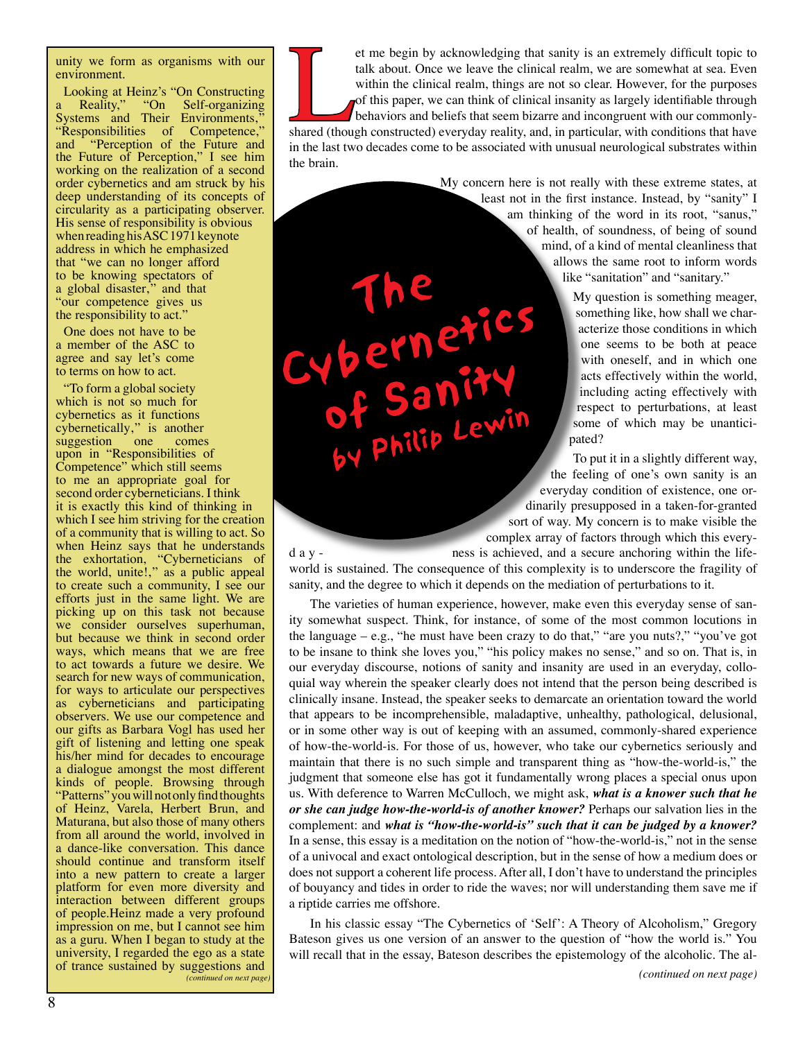unity we form as organisms with our environment.

Looking at Heinz's "On Constructing<br>a Reality," "On Self-organizing Self-organizing Systems and Their Environments," "Responsibilities of Competence," "Responsibilities of Competence,"<br>and "Perception of the Future and the Future of Perception," I see him working on the realization of a second order cybernetics and am struck by his deep understanding of its concepts of circularity as a participating observer. His sense of responsibility is obvious when reading his ASC 1971 keynote address in which he emphasized that "we can no longer afford to be knowing spectators of a global disaster," and that "our competence gives us the responsibility to act."

One does not have to be a member of the ASC to agree and say let's come to terms on how to act.

"To form a global society which is not so much for cybernetics as it functions cybernetically," is another suggestion one comes upon in "Responsibilities of Competence" which still seems to me an appropriate goal for second order cyberneticians. I think it is exactly this kind of thinking in which I see him striving for the creation of a community that is willing to act. So when Heinz says that he understands the exhortation, "Cyberneticians of the world, unite!," as a public appeal to create such a community, I see our efforts just in the same light. We are picking up on this task not because we consider ourselves superhuman, but because we think in second order ways, which means that we are free to act towards a future we desire. We search for new ways of communication, for ways to articulate our perspectives as cyberneticians and participating observers. We use our competence and our gifts as Barbara Vogl has used her gift of listening and letting one speak his/her mind for decades to encourage a dialogue amongst the most different kinds of people. Browsing through "Patterns" you will not only find thoughts of Heinz, Varela, Herbert Brun, and Maturana, but also those of many others from all around the world, involved in a dance-like conversation. This dance should continue and transform itself into a new pattern to create a larger platform for even more diversity and interaction between different groups of people.Heinz made a very profound impression on me, but I cannot see him as a guru. When I began to study at the university, I regarded the ego as a state of trance sustained by suggestions and *(continued on next page)* et me begin by acknowledging that sanity is an extremely difficult topic to talk about. Once we leave the clinical realm, we are somewhat at sea. Even within the clinical realm, things are not so clear. However, for the pu talk about. Once we leave the clinical realm, we are somewhat at sea. Even within the clinical realm, things are not so clear. However, for the purposes of this paper, we can think of clinical insanity as largely identifiable through behaviors and beliefs that seem bizarre and incongruent with our commonlyin the last two decades come to be associated with unusual neurological substrates within the brain.

> My concern here is not really with these extreme states, at least not in the first instance. Instead, by "sanity" I am thinking of the word in its root, "sanus," of health, of soundness, of being of sound mind, of a kind of mental cleanliness that allows the same root to inform words like "sanitation" and "sanitary."

> > My question is something meager, something like, how shall we characterize those conditions in which one seems to be both at peace with oneself, and in which one acts effectively within the world, including acting effectively with respect to perturbations, at least some of which may be unanticipated?

Philip Lewin To put it in a slightly different way, the feeling of one's own sanity is an everyday condition of existence, one ordinarily presupposed in a taken-for-granted sort of way. My concern is to make visible the complex array of factors through which this every-

d a y - ness is achieved, and a secure anchoring within the lifeworld is sustained. The consequence of this complexity is to underscore the fragility of sanity, and the degree to which it depends on the mediation of perturbations to it.

The varieties of human experience, however, make even this everyday sense of sanity somewhat suspect. Think, for instance, of some of the most common locutions in the language – e.g., "he must have been crazy to do that," "are you nuts?," "you've got to be insane to think she loves you," "his policy makes no sense," and so on. That is, in our everyday discourse, notions of sanity and insanity are used in an everyday, colloquial way wherein the speaker clearly does not intend that the person being described is clinically insane. Instead, the speaker seeks to demarcate an orientation toward the world that appears to be incomprehensible, maladaptive, unhealthy, pathological, delusional, or in some other way is out of keeping with an assumed, commonly-shared experience of how-the-world-is. For those of us, however, who take our cybernetics seriously and maintain that there is no such simple and transparent thing as "how-the-world-is," the judgment that someone else has got it fundamentally wrong places a special onus upon us. With deference to Warren McCulloch, we might ask, *what is a knower such that he or she can judge how-the-world-is of another knower?* Perhaps our salvation lies in the complement: and *what is "how-the-world-is" such that it can be judged by a knower?* In a sense, this essay is a meditation on the notion of "how-the-world-is," not in the sense of a univocal and exact ontological description, but in the sense of how a medium does or does not support a coherent life process. After all, I don't have to understand the principles of bouyancy and tides in order to ride the waves; nor will understanding them save me if a riptide carries me offshore.

In his classic essay "The Cybernetics of 'Self': A Theory of Alcoholism," Gregory Bateson gives us one version of an answer to the question of "how the world is." You will recall that in the essay, Bateson describes the epistemology of the alcoholic. The al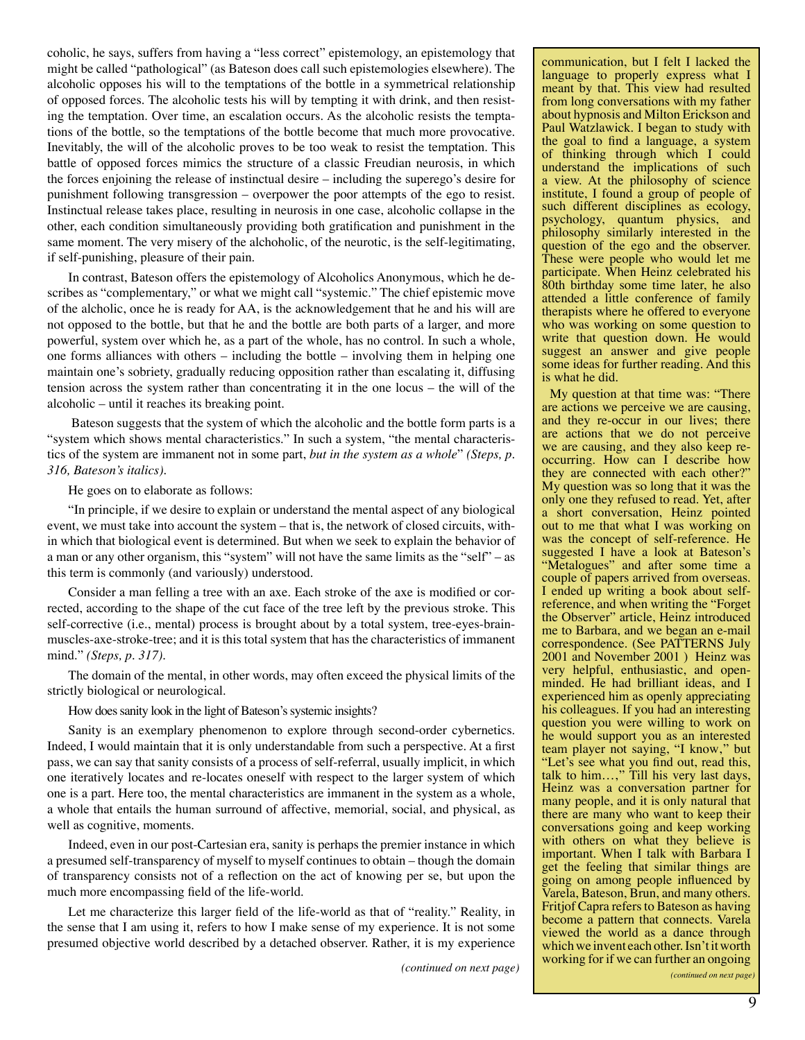coholic, he says, suffers from having a "less correct" epistemology, an epistemology that might be called "pathological" (as Bateson does call such epistemologies elsewhere). The alcoholic opposes his will to the temptations of the bottle in a symmetrical relationship of opposed forces. The alcoholic tests his will by tempting it with drink, and then resisting the temptation. Over time, an escalation occurs. As the alcoholic resists the temptations of the bottle, so the temptations of the bottle become that much more provocative. Inevitably, the will of the alcoholic proves to be too weak to resist the temptation. This battle of opposed forces mimics the structure of a classic Freudian neurosis, in which the forces enjoining the release of instinctual desire – including the superego's desire for punishment following transgression – overpower the poor attempts of the ego to resist. Instinctual release takes place, resulting in neurosis in one case, alcoholic collapse in the other, each condition simultaneously providing both gratification and punishment in the same moment. The very misery of the alchoholic, of the neurotic, is the self-legitimating, if self-punishing, pleasure of their pain.

In contrast, Bateson offers the epistemology of Alcoholics Anonymous, which he describes as "complementary," or what we might call "systemic." The chief epistemic move of the alcholic, once he is ready for AA, is the acknowledgement that he and his will are not opposed to the bottle, but that he and the bottle are both parts of a larger, and more powerful, system over which he, as a part of the whole, has no control. In such a whole, one forms alliances with others – including the bottle – involving them in helping one maintain one's sobriety, gradually reducing opposition rather than escalating it, diffusing tension across the system rather than concentrating it in the one locus – the will of the alcoholic – until it reaches its breaking point.

 Bateson suggests that the system of which the alcoholic and the bottle form parts is a "system which shows mental characteristics." In such a system, "the mental characteristics of the system are immanent not in some part, *but in the system as a whole*" *(Steps, p. 316, Bateson's italics)*.

He goes on to elaborate as follows:

"In principle, if we desire to explain or understand the mental aspect of any biological event, we must take into account the system – that is, the network of closed circuits, within which that biological event is determined. But when we seek to explain the behavior of a man or any other organism, this "system" will not have the same limits as the "self" – as this term is commonly (and variously) understood.

Consider a man felling a tree with an axe. Each stroke of the axe is modified or corrected, according to the shape of the cut face of the tree left by the previous stroke. This self-corrective (i.e., mental) process is brought about by a total system, tree-eyes-brainmuscles-axe-stroke-tree; and it is this total system that has the characteristics of immanent mind." *(Steps, p. 317)*.

The domain of the mental, in other words, may often exceed the physical limits of the strictly biological or neurological.

How does sanity look in the light of Bateson's systemic insights?

Sanity is an exemplary phenomenon to explore through second-order cybernetics. Indeed, I would maintain that it is only understandable from such a perspective. At a first pass, we can say that sanity consists of a process of self-referral, usually implicit, in which one iteratively locates and re-locates oneself with respect to the larger system of which one is a part. Here too, the mental characteristics are immanent in the system as a whole, a whole that entails the human surround of affective, memorial, social, and physical, as well as cognitive, moments.

Indeed, even in our post-Cartesian era, sanity is perhaps the premier instance in which a presumed self-transparency of myself to myself continues to obtain – though the domain of transparency consists not of a reflection on the act of knowing per se, but upon the much more encompassing field of the life-world.

Let me characterize this larger field of the life-world as that of "reality." Reality, in the sense that I am using it, refers to how I make sense of my experience. It is not some presumed objective world described by a detached observer. Rather, it is my experience

*(continued on next page)*

communication, but I felt I lacked the language to properly express what I meant by that. This view had resulted from long conversations with my father about hypnosis and Milton Erickson and Paul Watzlawick. I began to study with the goal to find a language, a system of thinking through which I could understand the implications of such a view. At the philosophy of science institute, I found a group of people of such different disciplines as ecology, psychology, quantum physics, and philosophy similarly interested in the question of the ego and the observer. These were people who would let me participate. When Heinz celebrated his 80th birthday some time later, he also attended a little conference of family therapists where he offered to everyone who was working on some question to write that question down. He would suggest an answer and give people some ideas for further reading. And this is what he did.

My question at that time was: "There are actions we perceive we are causing, and they re-occur in our lives; there are actions that we do not perceive we are causing, and they also keep reoccurring. How can I describe how they are connected with each other?" My question was so long that it was the only one they refused to read. Yet, after a short conversation, Heinz pointed out to me that what I was working on was the concept of self-reference. He suggested I have a look at Bateson's "Metalogues" and after some time a couple of papers arrived from overseas. I ended up writing a book about selfreference, and when writing the "Forget the Observer" article, Heinz introduced me to Barbara, and we began an e-mail correspondence. (See PATTERNS July 2001 and November 2001 ) Heinz was very helpful, enthusiastic, and openminded. He had brilliant ideas, and I experienced him as openly appreciating his colleagues. If you had an interesting question you were willing to work on he would support you as an interested team player not saying, "I know," but "Let's see what you find out, read this, talk to him...," Till his very last days, Heinz was a conversation partner for many people, and it is only natural that there are many who want to keep their conversations going and keep working with others on what they believe is important. When I talk with Barbara I get the feeling that similar things are going on among people influenced by Varela, Bateson, Brun, and many others. Fritjof Capra refers to Bateson as having become a pattern that connects. Varela viewed the world as a dance through which we invent each other. Isn't it worth working for if we can further an ongoing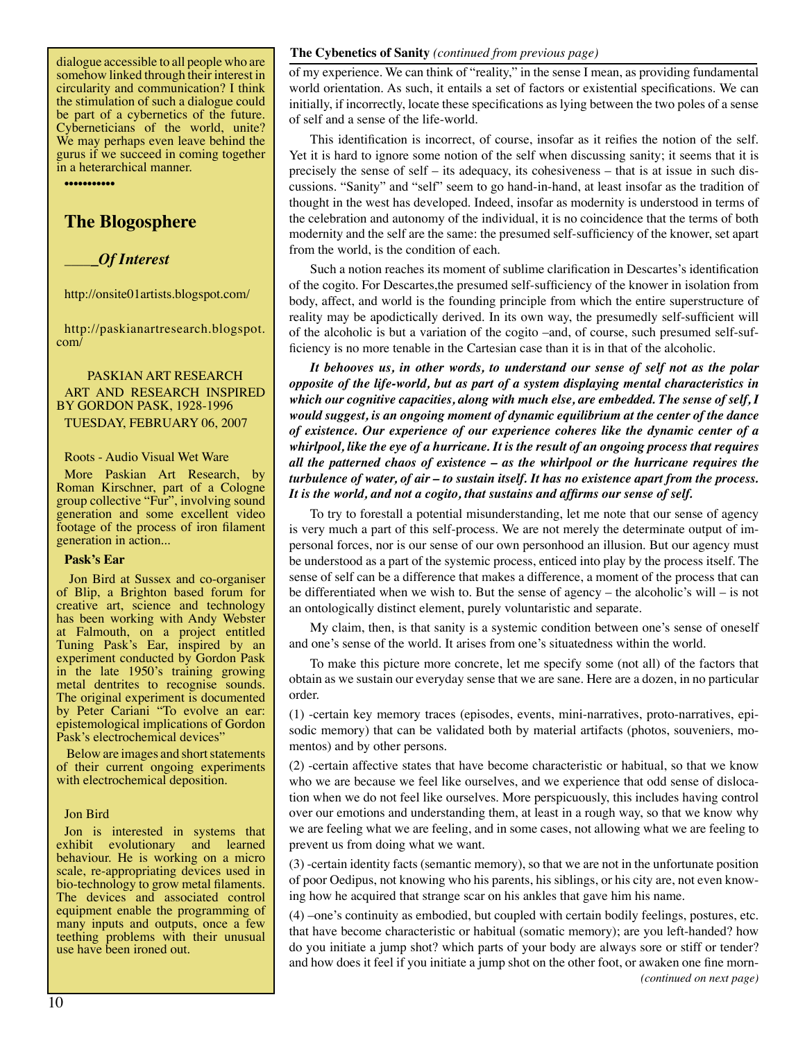dialogue accessible to all people who are somehow linked through their interest in circularity and communication? I think the stimulation of such a dialogue could be part of a cybernetics of the future. Cyberneticians of the world, unite? We may perhaps even leave behind the gurus if we succeed in coming together in a heterarchical manner.

•••••••••••

## **The Blogosphere**

\_\_\_\_*\_Of Interest*

http://onsite01artists.blogspot.com/

http://paskianartresearch.blogspot. com/

#### PASKIAN ART RESEARCH ART AND RESEARCH INSPIRED BY GORDON PASK, 1928-1996 TUESDAY, FEBRUARY 06, 2007

Roots - Audio Visual Wet Ware

More Paskian Art Research, by Roman Kirschner, part of a Cologne group collective "Fur", involving sound generation and some excellent video footage of the process of iron filament generation in action...

#### **Pask's Ear**

Jon Bird at Sussex and co-organiser of Blip, a Brighton based forum for creative art, science and technology has been working with Andy Webster at Falmouth, on a project entitled Tuning Pask's Ear, inspired by an experiment conducted by Gordon Pask in the late 1950's training growing metal dentrites to recognise sounds. The original experiment is documented by Peter Cariani "To evolve an ear: epistemological implications of Gordon Pask's electrochemical devices"

 Below are images and short statements of their current ongoing experiments with electrochemical deposition.

#### Jon Bird

Jon is interested in systems that exhibit evolutionary and learned behaviour. He is working on a micro scale, re-appropriating devices used in bio-technology to grow metal filaments. The devices and associated control equipment enable the programming of many inputs and outputs, once a few teething problems with their unusual use have been ironed out.

#### **The Cybenetics of Sanity** *(continued from previous page)*

of my experience. We can think of "reality," in the sense I mean, as providing fundamental world orientation. As such, it entails a set of factors or existential specifications. We can initially, if incorrectly, locate these specifications as lying between the two poles of a sense of self and a sense of the life-world.

This identification is incorrect, of course, insofar as it reifies the notion of the self. Yet it is hard to ignore some notion of the self when discussing sanity; it seems that it is precisely the sense of self – its adequacy, its cohesiveness – that is at issue in such discussions. "Sanity" and "self" seem to go hand-in-hand, at least insofar as the tradition of thought in the west has developed. Indeed, insofar as modernity is understood in terms of the celebration and autonomy of the individual, it is no coincidence that the terms of both modernity and the self are the same: the presumed self-sufficiency of the knower, set apart from the world, is the condition of each.

Such a notion reaches its moment of sublime clarification in Descartes's identification of the cogito. For Descartes,the presumed self-sufficiency of the knower in isolation from body, affect, and world is the founding principle from which the entire superstructure of reality may be apodictically derived. In its own way, the presumedly self-sufficient will of the alcoholic is but a variation of the cogito –and, of course, such presumed self-sufficiency is no more tenable in the Cartesian case than it is in that of the alcoholic.

*It behooves us, in other words, to understand our sense of self not as the polar opposite of the life-world, but as part of a system displaying mental characteristics in which our cognitive capacities, along with much else, are embedded. The sense of self, I would suggest, is an ongoing moment of dynamic equilibrium at the center of the dance of existence. Our experience of our experience coheres like the dynamic center of a whirlpool, like the eye of a hurricane. It is the result of an ongoing process that requires all the patterned chaos of existence – as the whirlpool or the hurricane requires the turbulence of water, of air – to sustain itself. It has no existence apart from the process. It is the world, and not a cogito, that sustains and affirms our sense of self.*

To try to forestall a potential misunderstanding, let me note that our sense of agency is very much a part of this self-process. We are not merely the determinate output of impersonal forces, nor is our sense of our own personhood an illusion. But our agency must be understood as a part of the systemic process, enticed into play by the process itself. The sense of self can be a difference that makes a difference, a moment of the process that can be differentiated when we wish to. But the sense of agency – the alcoholic's will – is not an ontologically distinct element, purely voluntaristic and separate.

My claim, then, is that sanity is a systemic condition between one's sense of oneself and one's sense of the world. It arises from one's situatedness within the world.

To make this picture more concrete, let me specify some (not all) of the factors that obtain as we sustain our everyday sense that we are sane. Here are a dozen, in no particular order.

(1) -certain key memory traces (episodes, events, mini-narratives, proto-narratives, episodic memory) that can be validated both by material artifacts (photos, souveniers, momentos) and by other persons.

(2) -certain affective states that have become characteristic or habitual, so that we know who we are because we feel like ourselves, and we experience that odd sense of dislocation when we do not feel like ourselves. More perspicuously, this includes having control over our emotions and understanding them, at least in a rough way, so that we know why we are feeling what we are feeling, and in some cases, not allowing what we are feeling to prevent us from doing what we want.

(3) -certain identity facts (semantic memory), so that we are not in the unfortunate position of poor Oedipus, not knowing who his parents, his siblings, or his city are, not even knowing how he acquired that strange scar on his ankles that gave him his name.

(4) –one's continuity as embodied, but coupled with certain bodily feelings, postures, etc. that have become characteristic or habitual (somatic memory); are you left-handed? how do you initiate a jump shot? which parts of your body are always sore or stiff or tender? and how does it feel if you initiate a jump shot on the other foot, or awaken one fine morn- *(continued on next page)*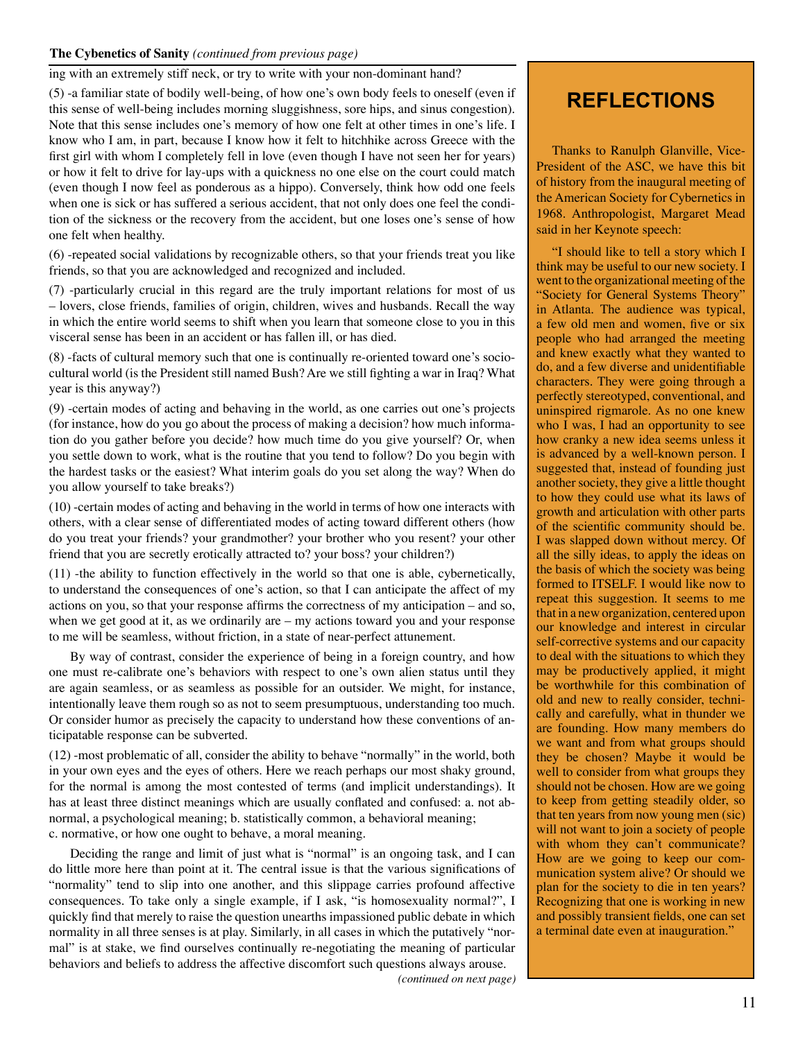#### **The Cybenetics of Sanity** *(continued from previous page)*

ing with an extremely stiff neck, or try to write with your non-dominant hand?

(5) -a familiar state of bodily well-being, of how one's own body feels to oneself (even if this sense of well-being includes morning sluggishness, sore hips, and sinus congestion). Note that this sense includes one's memory of how one felt at other times in one's life. I know who I am, in part, because I know how it felt to hitchhike across Greece with the first girl with whom I completely fell in love (even though I have not seen her for years) or how it felt to drive for lay-ups with a quickness no one else on the court could match (even though I now feel as ponderous as a hippo). Conversely, think how odd one feels when one is sick or has suffered a serious accident, that not only does one feel the condition of the sickness or the recovery from the accident, but one loses one's sense of how one felt when healthy.

(6) -repeated social validations by recognizable others, so that your friends treat you like friends, so that you are acknowledged and recognized and included.

(7) -particularly crucial in this regard are the truly important relations for most of us – lovers, close friends, families of origin, children, wives and husbands. Recall the way in which the entire world seems to shift when you learn that someone close to you in this visceral sense has been in an accident or has fallen ill, or has died.

(8) -facts of cultural memory such that one is continually re-oriented toward one's sociocultural world (is the President still named Bush? Are we still fighting a war in Iraq? What year is this anyway?)

(9) -certain modes of acting and behaving in the world, as one carries out one's projects (for instance, how do you go about the process of making a decision? how much information do you gather before you decide? how much time do you give yourself? Or, when you settle down to work, what is the routine that you tend to follow? Do you begin with the hardest tasks or the easiest? What interim goals do you set along the way? When do you allow yourself to take breaks?)

(10) -certain modes of acting and behaving in the world in terms of how one interacts with others, with a clear sense of differentiated modes of acting toward different others (how do you treat your friends? your grandmother? your brother who you resent? your other friend that you are secretly erotically attracted to? your boss? your children?)

(11) -the ability to function effectively in the world so that one is able, cybernetically, to understand the consequences of one's action, so that I can anticipate the affect of my actions on you, so that your response affirms the correctness of my anticipation – and so, when we get good at it, as we ordinarily are – my actions toward you and your response to me will be seamless, without friction, in a state of near-perfect attunement.

By way of contrast, consider the experience of being in a foreign country, and how one must re-calibrate one's behaviors with respect to one's own alien status until they are again seamless, or as seamless as possible for an outsider. We might, for instance, intentionally leave them rough so as not to seem presumptuous, understanding too much. Or consider humor as precisely the capacity to understand how these conventions of anticipatable response can be subverted.

(12) -most problematic of all, consider the ability to behave "normally" in the world, both in your own eyes and the eyes of others. Here we reach perhaps our most shaky ground, for the normal is among the most contested of terms (and implicit understandings). It has at least three distinct meanings which are usually conflated and confused: a. not abnormal, a psychological meaning; b. statistically common, a behavioral meaning; c. normative, or how one ought to behave, a moral meaning.

Deciding the range and limit of just what is "normal" is an ongoing task, and I can do little more here than point at it. The central issue is that the various significations of "normality" tend to slip into one another, and this slippage carries profound affective consequences. To take only a single example, if I ask, "is homosexuality normal?", I quickly find that merely to raise the question unearths impassioned public debate in which normality in all three senses is at play. Similarly, in all cases in which the putatively "normal" is at stake, we find ourselves continually re-negotiating the meaning of particular behaviors and beliefs to address the affective discomfort such questions always arouse.

## **REFLECTIONS**

Thanks to Ranulph Glanville, Vice-President of the ASC, we have this bit of history from the inaugural meeting of the American Society for Cybernetics in 1968. Anthropologist, Margaret Mead said in her Keynote speech:

"I should like to tell a story which I think may be useful to our new society. I went to the organizational meeting of the "Society for General Systems Theory" in Atlanta. The audience was typical, a few old men and women, five or six people who had arranged the meeting and knew exactly what they wanted to do, and a few diverse and unidentifiable characters. They were going through a perfectly stereotyped, conventional, and uninspired rigmarole. As no one knew who I was, I had an opportunity to see how cranky a new idea seems unless it is advanced by a well-known person. I suggested that, instead of founding just another society, they give a little thought to how they could use what its laws of growth and articulation with other parts of the scientific community should be. I was slapped down without mercy. Of all the silly ideas, to apply the ideas on the basis of which the society was being formed to ITSELF. I would like now to repeat this suggestion. It seems to me that in a new organization, centered upon our knowledge and interest in circular self-corrective systems and our capacity to deal with the situations to which they may be productively applied, it might be worthwhile for this combination of old and new to really consider, technically and carefully, what in thunder we are founding. How many members do we want and from what groups should they be chosen? Maybe it would be well to consider from what groups they should not be chosen. How are we going to keep from getting steadily older, so that ten years from now young men (sic) will not want to join a society of people with whom they can't communicate? How are we going to keep our communication system alive? Or should we plan for the society to die in ten years? Recognizing that one is working in new and possibly transient fields, one can set a terminal date even at inauguration."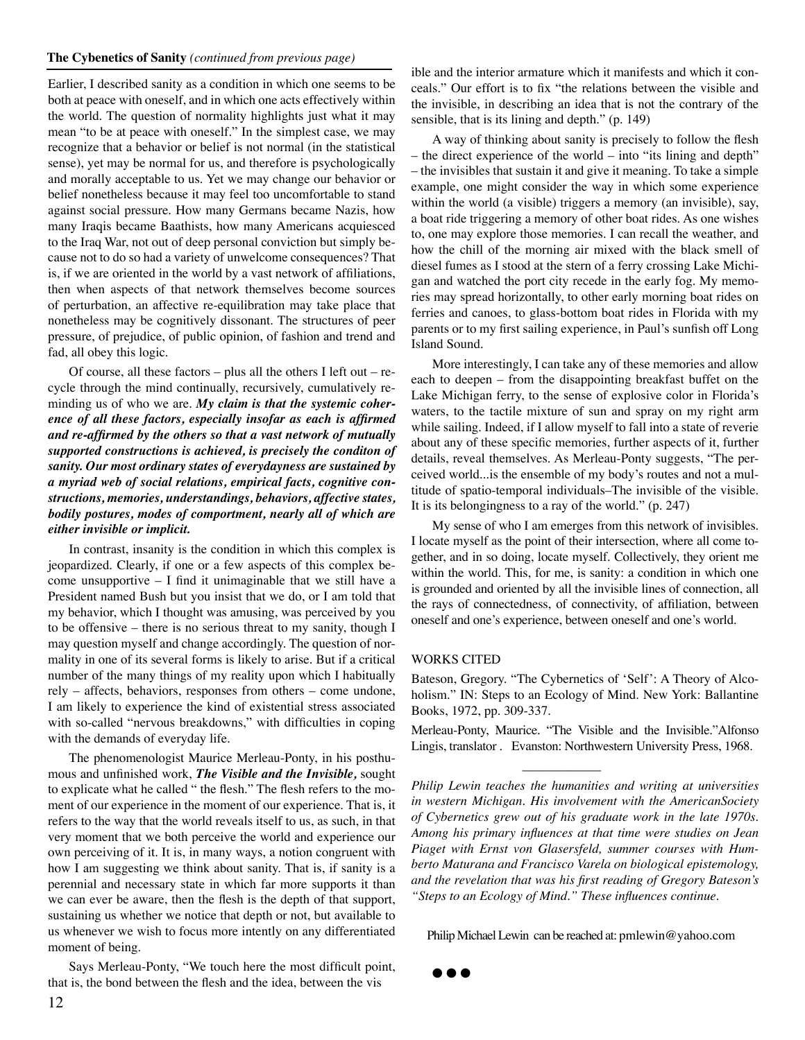#### **The Cybenetics of Sanity** *(continued from previous page)*

Earlier, I described sanity as a condition in which one seems to be both at peace with oneself, and in which one acts effectively within the world. The question of normality highlights just what it may mean "to be at peace with oneself." In the simplest case, we may recognize that a behavior or belief is not normal (in the statistical sense), yet may be normal for us, and therefore is psychologically and morally acceptable to us. Yet we may change our behavior or belief nonetheless because it may feel too uncomfortable to stand against social pressure. How many Germans became Nazis, how many Iraqis became Baathists, how many Americans acquiesced to the Iraq War, not out of deep personal conviction but simply because not to do so had a variety of unwelcome consequences? That is, if we are oriented in the world by a vast network of affiliations, then when aspects of that network themselves become sources of perturbation, an affective re-equilibration may take place that nonetheless may be cognitively dissonant. The structures of peer pressure, of prejudice, of public opinion, of fashion and trend and fad, all obey this logic.

Of course, all these factors – plus all the others I left out – recycle through the mind continually, recursively, cumulatively reminding us of who we are. *My claim is that the systemic coherence of all these factors, especially insofar as each is affirmed and re-affirmed by the others so that a vast network of mutually supported constructions is achieved, is precisely the conditon of sanity. Our most ordinary states of everydayness are sustained by a myriad web of social relations, empirical facts, cognitive constructions, memories, understandings, behaviors, affective states, bodily postures, modes of comportment, nearly all of which are either invisible or implicit.*

In contrast, insanity is the condition in which this complex is jeopardized. Clearly, if one or a few aspects of this complex become unsupportive – I find it unimaginable that we still have a President named Bush but you insist that we do, or I am told that my behavior, which I thought was amusing, was perceived by you to be offensive – there is no serious threat to my sanity, though I may question myself and change accordingly. The question of normality in one of its several forms is likely to arise. But if a critical number of the many things of my reality upon which I habitually rely – affects, behaviors, responses from others – come undone, I am likely to experience the kind of existential stress associated with so-called "nervous breakdowns," with difficulties in coping with the demands of everyday life.

The phenomenologist Maurice Merleau-Ponty, in his posthumous and unfinished work, *The Visible and the Invisible,* sought to explicate what he called " the flesh." The flesh refers to the moment of our experience in the moment of our experience. That is, it refers to the way that the world reveals itself to us, as such, in that very moment that we both perceive the world and experience our own perceiving of it. It is, in many ways, a notion congruent with how I am suggesting we think about sanity. That is, if sanity is a perennial and necessary state in which far more supports it than we can ever be aware, then the flesh is the depth of that support, sustaining us whether we notice that depth or not, but available to us whenever we wish to focus more intently on any differentiated moment of being.

Says Merleau-Ponty, "We touch here the most difficult point, that is, the bond between the flesh and the idea, between the vis

ible and the interior armature which it manifests and which it conceals." Our effort is to fix "the relations between the visible and the invisible, in describing an idea that is not the contrary of the sensible, that is its lining and depth." (p. 149)

A way of thinking about sanity is precisely to follow the flesh – the direct experience of the world – into "its lining and depth" – the invisibles that sustain it and give it meaning. To take a simple example, one might consider the way in which some experience within the world (a visible) triggers a memory (an invisible), say, a boat ride triggering a memory of other boat rides. As one wishes to, one may explore those memories. I can recall the weather, and how the chill of the morning air mixed with the black smell of diesel fumes as I stood at the stern of a ferry crossing Lake Michigan and watched the port city recede in the early fog. My memories may spread horizontally, to other early morning boat rides on ferries and canoes, to glass-bottom boat rides in Florida with my parents or to my first sailing experience, in Paul's sunfish off Long Island Sound.

More interestingly, I can take any of these memories and allow each to deepen – from the disappointing breakfast buffet on the Lake Michigan ferry, to the sense of explosive color in Florida's waters, to the tactile mixture of sun and spray on my right arm while sailing. Indeed, if I allow myself to fall into a state of reverie about any of these specific memories, further aspects of it, further details, reveal themselves. As Merleau-Ponty suggests, "The perceived world...is the ensemble of my body's routes and not a multitude of spatio-temporal individuals–The invisible of the visible. It is its belongingness to a ray of the world." (p. 247)

My sense of who I am emerges from this network of invisibles. I locate myself as the point of their intersection, where all come together, and in so doing, locate myself. Collectively, they orient me within the world. This, for me, is sanity: a condition in which one is grounded and oriented by all the invisible lines of connection, all the rays of connectedness, of connectivity, of affiliation, between oneself and one's experience, between oneself and one's world.

#### WORKS CITED

 $\frac{1}{2}$  , and the set of  $\frac{1}{2}$  , and the set of  $\frac{1}{2}$ 

Bateson, Gregory. "The Cybernetics of 'Self': A Theory of Alcoholism." IN: Steps to an Ecology of Mind. New York: Ballantine Books, 1972, pp. 309-337.

Merleau-Ponty, Maurice. "The Visible and the Invisible."Alfonso Lingis, translator . Evanston: Northwestern University Press, 1968.

*Philip Lewin teaches the humanities and writing at universities in western Michigan. His involvement with the AmericanSociety of Cybernetics grew out of his graduate work in the late 1970s. Among his primary influences at that time were studies on Jean Piaget with Ernst von Glasersfeld, summer courses with Humberto Maturana and Francisco Varela on biological epistemology, and the revelation that was his first reading of Gregory Bateson's "Steps to an Ecology of Mind." These influences continue.*

Philip Michael Lewin can be reached at: pmlewin@yahoo.com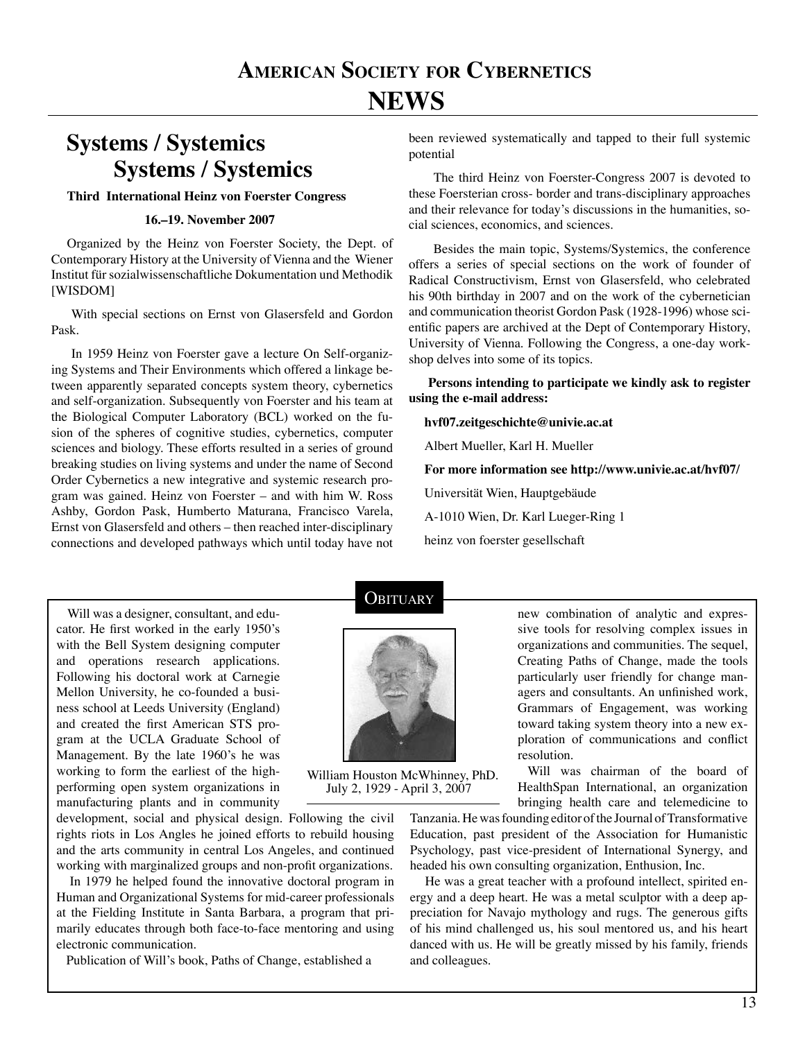# **Systems / Systemics Systems / Systemics**

#### **Third International Heinz von Foerster Congress**

#### **16.–19. November 2007**

Organized by the Heinz von Foerster Society, the Dept. of Contemporary History at the University of Vienna and the Wiener Institut für sozialwissenschaftliche Dokumentation und Methodik [WISDOM]

 With special sections on Ernst von Glasersfeld and Gordon Pask.

 In 1959 Heinz von Foerster gave a lecture On Self-organizing Systems and Their Environments which offered a linkage between apparently separated concepts system theory, cybernetics and self-organization. Subsequently von Foerster and his team at the Biological Computer Laboratory (BCL) worked on the fusion of the spheres of cognitive studies, cybernetics, computer sciences and biology. These efforts resulted in a series of ground breaking studies on living systems and under the name of Second Order Cybernetics a new integrative and systemic research program was gained. Heinz von Foerster – and with him W. Ross Ashby, Gordon Pask, Humberto Maturana, Francisco Varela, Ernst von Glasersfeld and others – then reached inter-disciplinary connections and developed pathways which until today have not been reviewed systematically and tapped to their full systemic potential

 The third Heinz von Foerster-Congress 2007 is devoted to these Foersterian cross- border and trans-disciplinary approaches and their relevance for today's discussions in the humanities, social sciences, economics, and sciences.

 Besides the main topic, Systems/Systemics, the conference offers a series of special sections on the work of founder of Radical Constructivism, Ernst von Glasersfeld, who celebrated his 90th birthday in 2007 and on the work of the cybernetician and communication theorist Gordon Pask (1928-1996) whose scientific papers are archived at the Dept of Contemporary History, University of Vienna. Following the Congress, a one-day workshop delves into some of its topics.

 **Persons intending to participate we kindly ask to register using the e-mail address:**

**hvf07.zeitgeschichte@univie.ac.at**

Albert Mueller, Karl H. Mueller

**For more information see http://www.univie.ac.at/hvf07/**

Universität Wien, Hauptgebäude

A-1010 Wien, Dr. Karl Lueger-Ring 1

heinz von foerster gesellschaft

 Will was a designer, consultant, and educator. He first worked in the early 1950's with the Bell System designing computer and operations research applications. Following his doctoral work at Carnegie Mellon University, he co-founded a business school at Leeds University (England) and created the first American STS program at the UCLA Graduate School of Management. By the late 1960's he was working to form the earliest of the highperforming open system organizations in manufacturing plants and in community

development, social and physical design. Following the civil rights riots in Los Angles he joined efforts to rebuild housing and the arts community in central Los Angeles, and continued working with marginalized groups and non-profit organizations.

 In 1979 he helped found the innovative doctoral program in Human and Organizational Systems for mid-career professionals at the Fielding Institute in Santa Barbara, a program that primarily educates through both face-to-face mentoring and using electronic communication.

Publication of Will's book, Paths of Change, established a

## **OBITUARY**



William Houston McWhinney, PhD. July 2, 1929 - April 3, 2007

new combination of analytic and expressive tools for resolving complex issues in organizations and communities. The sequel, Creating Paths of Change, made the tools particularly user friendly for change managers and consultants. An unfinished work, Grammars of Engagement, was working toward taking system theory into a new exploration of communications and conflict resolution.

 Will was chairman of the board of HealthSpan International, an organization bringing health care and telemedicine to

Tanzania. He was founding editor of the Journal of Transformative Education, past president of the Association for Humanistic Psychology, past vice-president of International Synergy, and headed his own consulting organization, Enthusion, Inc.

 He was a great teacher with a profound intellect, spirited energy and a deep heart. He was a metal sculptor with a deep appreciation for Navajo mythology and rugs. The generous gifts of his mind challenged us, his soul mentored us, and his heart danced with us. He will be greatly missed by his family, friends and colleagues.